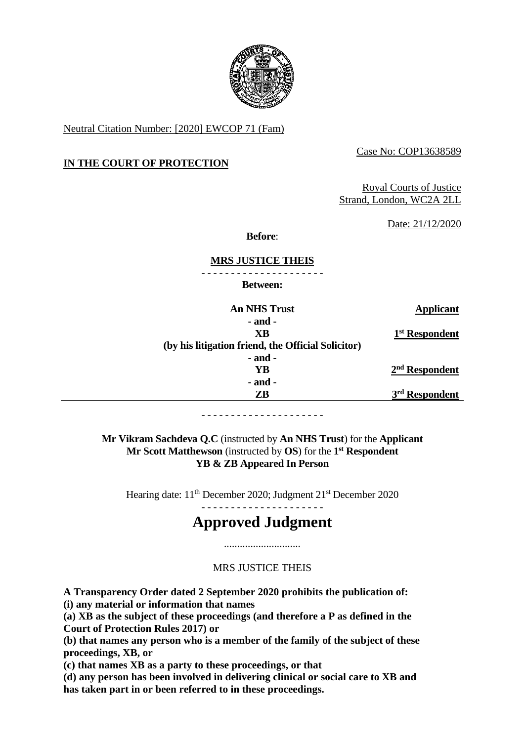

Neutral Citation Number: [2020] EWCOP 71 (Fam)

Case No: COP13638589

# **IN THE COURT OF PROTECTION**

Royal Courts of Justice Strand, London, WC2A 2LL

Date: 21/12/2020

**Before**:

# **MRS JUSTICE THEIS**

- - - - - - - - - - - - - - - - - - - - -

**Between:**

| <b>An NHS Trust</b>                                | Applicant                  |
|----------------------------------------------------|----------------------------|
| $-$ and $-$                                        |                            |
| XВ                                                 | 1 <sup>st</sup> Respondent |
| (by his litigation friend, the Official Solicitor) |                            |
| $-$ and $-$                                        |                            |
| YR                                                 | $2nd$ Respondent           |
| $-$ and $-$                                        |                            |
| ZB                                                 | 3 <sup>rd</sup> Respondent |
|                                                    |                            |

- - - - - - - - - - - - - - - - - - - - -

**Mr Vikram Sachdeva Q.C** (instructed by **An NHS Trust**) for the **Applicant Mr Scott Matthewson** (instructed by **OS**) for the **1 st Respondent YB & ZB Appeared In Person** 

Hearing date: 11<sup>th</sup> December 2020; Judgment 21<sup>st</sup> December 2020 - - - - - - - - - - - - - - - - - - - - -

# **Approved Judgment**

# MRS JUSTICE THEIS

.............................

**A Transparency Order dated 2 September 2020 prohibits the publication of:**

**(i) any material or information that names**

**(a) XB as the subject of these proceedings (and therefore a P as defined in the Court of Protection Rules 2017) or**

**(b) that names any person who is a member of the family of the subject of these proceedings, XB, or**

**(c) that names XB as a party to these proceedings, or that**

**(d) any person has been involved in delivering clinical or social care to XB and has taken part in or been referred to in these proceedings.**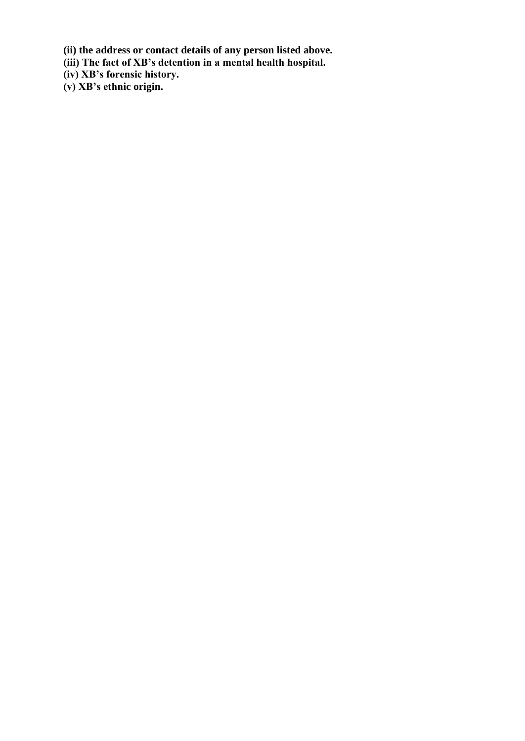**(ii) the address or contact details of any person listed above.**

**(iii) The fact of XB's detention in a mental health hospital.**

**(iv) XB's forensic history.**

**(v) XB's ethnic origin.**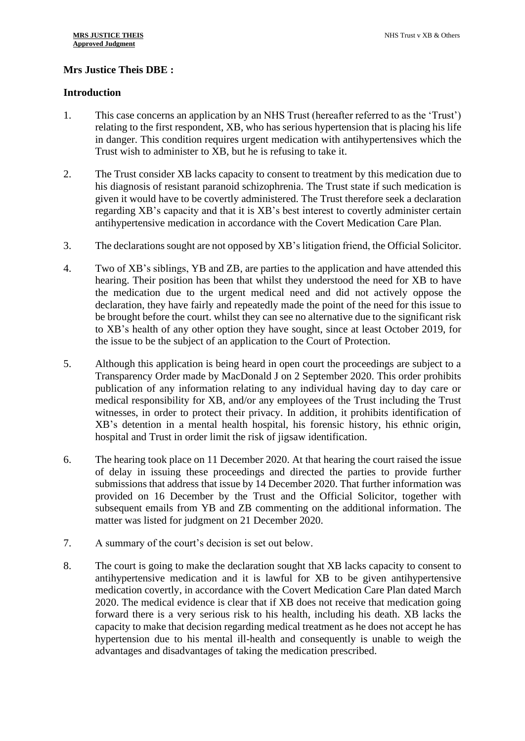# **Mrs Justice Theis DBE :**

## **Introduction**

- 1. This case concerns an application by an NHS Trust (hereafter referred to as the 'Trust') relating to the first respondent, XB, who has serious hypertension that is placing his life in danger. This condition requires urgent medication with antihypertensives which the Trust wish to administer to XB, but he is refusing to take it.
- 2. The Trust consider XB lacks capacity to consent to treatment by this medication due to his diagnosis of resistant paranoid schizophrenia. The Trust state if such medication is given it would have to be covertly administered. The Trust therefore seek a declaration regarding XB's capacity and that it is XB's best interest to covertly administer certain antihypertensive medication in accordance with the Covert Medication Care Plan.
- 3. The declarations sought are not opposed by XB's litigation friend, the Official Solicitor.
- 4. Two of XB's siblings, YB and ZB, are parties to the application and have attended this hearing. Their position has been that whilst they understood the need for XB to have the medication due to the urgent medical need and did not actively oppose the declaration, they have fairly and repeatedly made the point of the need for this issue to be brought before the court. whilst they can see no alternative due to the significant risk to XB's health of any other option they have sought, since at least October 2019, for the issue to be the subject of an application to the Court of Protection.
- 5. Although this application is being heard in open court the proceedings are subject to a Transparency Order made by MacDonald J on 2 September 2020. This order prohibits publication of any information relating to any individual having day to day care or medical responsibility for XB, and/or any employees of the Trust including the Trust witnesses, in order to protect their privacy. In addition, it prohibits identification of XB's detention in a mental health hospital, his forensic history, his ethnic origin, hospital and Trust in order limit the risk of jigsaw identification.
- 6. The hearing took place on 11 December 2020. At that hearing the court raised the issue of delay in issuing these proceedings and directed the parties to provide further submissions that address that issue by 14 December 2020. That further information was provided on 16 December by the Trust and the Official Solicitor, together with subsequent emails from YB and ZB commenting on the additional information. The matter was listed for judgment on 21 December 2020.
- 7. A summary of the court's decision is set out below.
- 8. The court is going to make the declaration sought that XB lacks capacity to consent to antihypertensive medication and it is lawful for XB to be given antihypertensive medication covertly, in accordance with the Covert Medication Care Plan dated March 2020. The medical evidence is clear that if XB does not receive that medication going forward there is a very serious risk to his health, including his death. XB lacks the capacity to make that decision regarding medical treatment as he does not accept he has hypertension due to his mental ill-health and consequently is unable to weigh the advantages and disadvantages of taking the medication prescribed.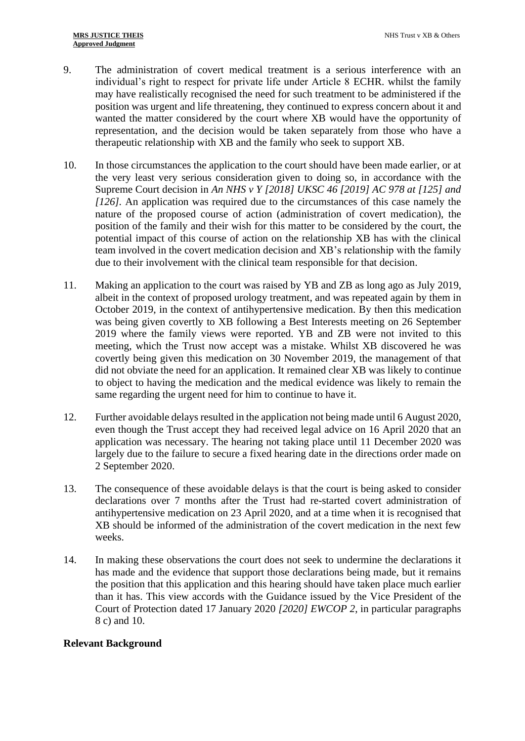- 9. The administration of covert medical treatment is a serious interference with an individual's right to respect for private life under Article 8 ECHR. whilst the family may have realistically recognised the need for such treatment to be administered if the position was urgent and life threatening, they continued to express concern about it and wanted the matter considered by the court where XB would have the opportunity of representation, and the decision would be taken separately from those who have a therapeutic relationship with XB and the family who seek to support XB.
- 10. In those circumstances the application to the court should have been made earlier, or at the very least very serious consideration given to doing so, in accordance with the Supreme Court decision in *An NHS v Y [2018] UKSC 46 [2019] AC 978 at [125] and [126].* An application was required due to the circumstances of this case namely the nature of the proposed course of action (administration of covert medication), the position of the family and their wish for this matter to be considered by the court, the potential impact of this course of action on the relationship XB has with the clinical team involved in the covert medication decision and XB's relationship with the family due to their involvement with the clinical team responsible for that decision.
- 11. Making an application to the court was raised by YB and ZB as long ago as July 2019, albeit in the context of proposed urology treatment, and was repeated again by them in October 2019, in the context of antihypertensive medication. By then this medication was being given covertly to XB following a Best Interests meeting on 26 September 2019 where the family views were reported. YB and ZB were not invited to this meeting, which the Trust now accept was a mistake. Whilst XB discovered he was covertly being given this medication on 30 November 2019, the management of that did not obviate the need for an application. It remained clear XB was likely to continue to object to having the medication and the medical evidence was likely to remain the same regarding the urgent need for him to continue to have it.
- 12. Further avoidable delays resulted in the application not being made until 6 August 2020, even though the Trust accept they had received legal advice on 16 April 2020 that an application was necessary. The hearing not taking place until 11 December 2020 was largely due to the failure to secure a fixed hearing date in the directions order made on 2 September 2020.
- 13. The consequence of these avoidable delays is that the court is being asked to consider declarations over 7 months after the Trust had re-started covert administration of antihypertensive medication on 23 April 2020, and at a time when it is recognised that XB should be informed of the administration of the covert medication in the next few weeks.
- 14. In making these observations the court does not seek to undermine the declarations it has made and the evidence that support those declarations being made, but it remains the position that this application and this hearing should have taken place much earlier than it has. This view accords with the Guidance issued by the Vice President of the Court of Protection dated 17 January 2020 *[2020] EWCOP 2*, in particular paragraphs 8 c) and 10.

#### **Relevant Background**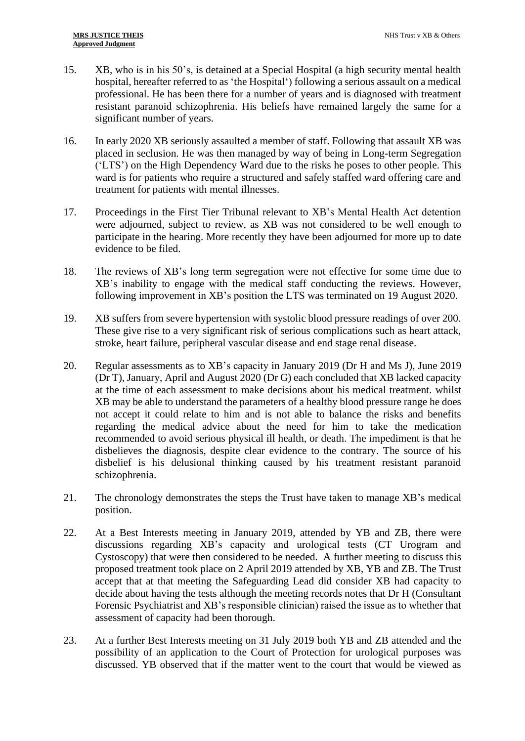- 15. XB, who is in his 50's, is detained at a Special Hospital (a high security mental health hospital, hereafter referred to as 'the Hospital') following a serious assault on a medical professional. He has been there for a number of years and is diagnosed with treatment resistant paranoid schizophrenia. His beliefs have remained largely the same for a significant number of years.
- 16. In early 2020 XB seriously assaulted a member of staff. Following that assault XB was placed in seclusion. He was then managed by way of being in Long-term Segregation ('LTS') on the High Dependency Ward due to the risks he poses to other people. This ward is for patients who require a structured and safely staffed ward offering care and treatment for patients with mental illnesses.
- 17. Proceedings in the First Tier Tribunal relevant to XB's Mental Health Act detention were adjourned, subject to review, as XB was not considered to be well enough to participate in the hearing. More recently they have been adjourned for more up to date evidence to be filed.
- 18. The reviews of XB's long term segregation were not effective for some time due to XB's inability to engage with the medical staff conducting the reviews. However, following improvement in XB's position the LTS was terminated on 19 August 2020.
- 19. XB suffers from severe hypertension with systolic blood pressure readings of over 200. These give rise to a very significant risk of serious complications such as heart attack, stroke, heart failure, peripheral vascular disease and end stage renal disease.
- 20. Regular assessments as to XB's capacity in January 2019 (Dr H and Ms J), June 2019 (Dr T), January, April and August 2020 (Dr G) each concluded that XB lacked capacity at the time of each assessment to make decisions about his medical treatment. whilst XB may be able to understand the parameters of a healthy blood pressure range he does not accept it could relate to him and is not able to balance the risks and benefits regarding the medical advice about the need for him to take the medication recommended to avoid serious physical ill health, or death. The impediment is that he disbelieves the diagnosis, despite clear evidence to the contrary. The source of his disbelief is his delusional thinking caused by his treatment resistant paranoid schizophrenia.
- 21. The chronology demonstrates the steps the Trust have taken to manage XB's medical position.
- 22. At a Best Interests meeting in January 2019, attended by YB and ZB, there were discussions regarding XB's capacity and urological tests (CT Urogram and Cystoscopy) that were then considered to be needed. A further meeting to discuss this proposed treatment took place on 2 April 2019 attended by XB, YB and ZB. The Trust accept that at that meeting the Safeguarding Lead did consider XB had capacity to decide about having the tests although the meeting records notes that Dr H (Consultant Forensic Psychiatrist and XB's responsible clinician) raised the issue as to whether that assessment of capacity had been thorough.
- 23. At a further Best Interests meeting on 31 July 2019 both YB and ZB attended and the possibility of an application to the Court of Protection for urological purposes was discussed. YB observed that if the matter went to the court that would be viewed as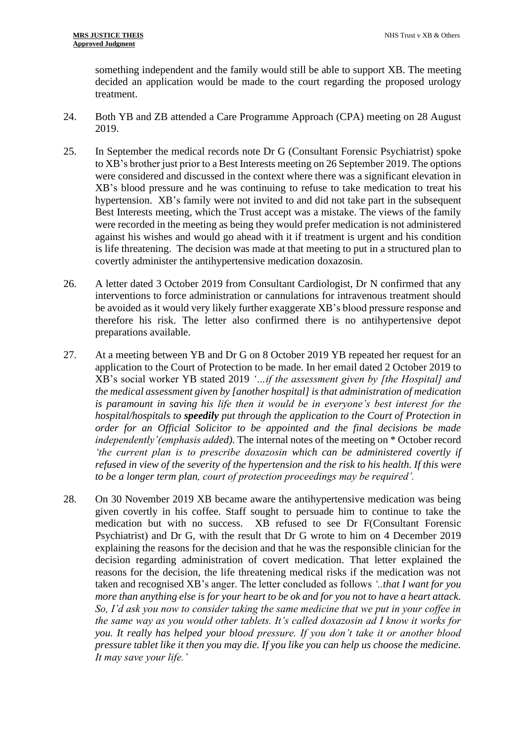something independent and the family would still be able to support XB. The meeting decided an application would be made to the court regarding the proposed urology treatment.

- 24. Both YB and ZB attended a Care Programme Approach (CPA) meeting on 28 August 2019.
- 25. In September the medical records note Dr G (Consultant Forensic Psychiatrist) spoke to XB's brother just prior to a Best Interests meeting on 26 September 2019. The options were considered and discussed in the context where there was a significant elevation in XB's blood pressure and he was continuing to refuse to take medication to treat his hypertension. XB's family were not invited to and did not take part in the subsequent Best Interests meeting, which the Trust accept was a mistake. The views of the family were recorded in the meeting as being they would prefer medication is not administered against his wishes and would go ahead with it if treatment is urgent and his condition is life threatening. The decision was made at that meeting to put in a structured plan to covertly administer the antihypertensive medication doxazosin.
- 26. A letter dated 3 October 2019 from Consultant Cardiologist, Dr N confirmed that any interventions to force administration or cannulations for intravenous treatment should be avoided as it would very likely further exaggerate XB's blood pressure response and therefore his risk. The letter also confirmed there is no antihypertensive depot preparations available.
- 27. At a meeting between YB and Dr G on 8 October 2019 YB repeated her request for an application to the Court of Protection to be made. In her email dated 2 October 2019 to XB's social worker YB stated 2019 *'…if the assessment given by [the Hospital] and the medical assessment given by [another hospital] is that administration of medication is paramount in saving his life then it would be in everyone's best interest for the hospital/hospitals to speedily put through the application to the Court of Protection in order for an Official Solicitor to be appointed and the final decisions be made independently'(emphasis added).* The internal notes of the meeting on \* October record *'the current plan is to prescribe doxazosin which can be administered covertly if refused in view of the severity of the hypertension and the risk to his health. If this were to be a longer term plan, court of protection proceedings may be required'.*
- 28. On 30 November 2019 XB became aware the antihypertensive medication was being given covertly in his coffee. Staff sought to persuade him to continue to take the medication but with no success. XB refused to see Dr F(Consultant Forensic Psychiatrist) and Dr G, with the result that Dr G wrote to him on 4 December 2019 explaining the reasons for the decision and that he was the responsible clinician for the decision regarding administration of covert medication. That letter explained the reasons for the decision, the life threatening medical risks if the medication was not taken and recognised XB's anger. The letter concluded as follows *'..that I want for you more than anything else is for your heart to be ok and for you not to have a heart attack. So, I'd ask you now to consider taking the same medicine that we put in your coffee in the same way as you would other tablets. It's called doxazosin ad I know it works for you. It really has helped your blood pressure. If you don't take it or another blood pressure tablet like it then you may die. If you like you can help us choose the medicine. It may save your life.'*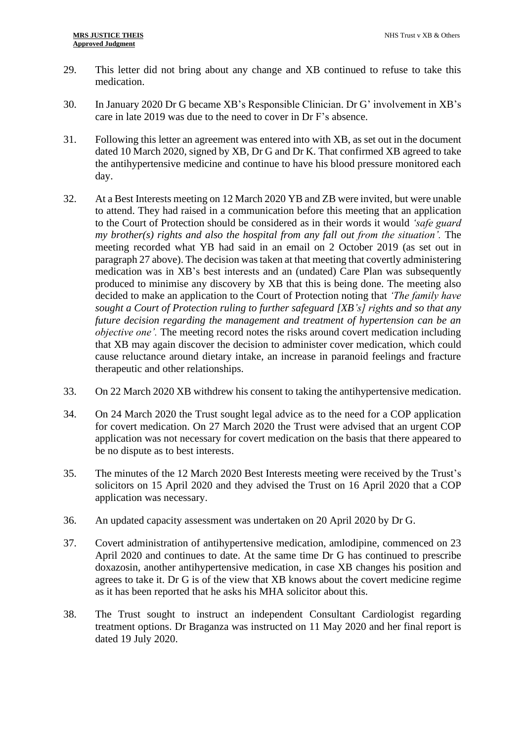- 29. This letter did not bring about any change and XB continued to refuse to take this medication.
- 30. In January 2020 Dr G became XB's Responsible Clinician. Dr G' involvement in XB's care in late 2019 was due to the need to cover in Dr F's absence.
- 31. Following this letter an agreement was entered into with XB, as set out in the document dated 10 March 2020, signed by XB, Dr G and Dr K. That confirmed XB agreed to take the antihypertensive medicine and continue to have his blood pressure monitored each day.
- 32. At a Best Interests meeting on 12 March 2020 YB and ZB were invited, but were unable to attend. They had raised in a communication before this meeting that an application to the Court of Protection should be considered as in their words it would *'safe guard my brother(s) rights and also the hospital from any fall out from the situation'.* The meeting recorded what YB had said in an email on 2 October 2019 (as set out in paragraph 27 above). The decision was taken at that meeting that covertly administering medication was in XB's best interests and an (undated) Care Plan was subsequently produced to minimise any discovery by XB that this is being done. The meeting also decided to make an application to the Court of Protection noting that *'The family have sought a Court of Protection ruling to further safeguard [XB's] rights and so that any future decision regarding the management and treatment of hypertension can be an objective one'*. The meeting record notes the risks around covert medication including that XB may again discover the decision to administer cover medication, which could cause reluctance around dietary intake, an increase in paranoid feelings and fracture therapeutic and other relationships.
- 33. On 22 March 2020 XB withdrew his consent to taking the antihypertensive medication.
- 34. On 24 March 2020 the Trust sought legal advice as to the need for a COP application for covert medication. On 27 March 2020 the Trust were advised that an urgent COP application was not necessary for covert medication on the basis that there appeared to be no dispute as to best interests.
- 35. The minutes of the 12 March 2020 Best Interests meeting were received by the Trust's solicitors on 15 April 2020 and they advised the Trust on 16 April 2020 that a COP application was necessary.
- 36. An updated capacity assessment was undertaken on 20 April 2020 by Dr G.
- 37. Covert administration of antihypertensive medication, amlodipine, commenced on 23 April 2020 and continues to date. At the same time Dr G has continued to prescribe doxazosin, another antihypertensive medication, in case XB changes his position and agrees to take it. Dr G is of the view that XB knows about the covert medicine regime as it has been reported that he asks his MHA solicitor about this.
- 38. The Trust sought to instruct an independent Consultant Cardiologist regarding treatment options. Dr Braganza was instructed on 11 May 2020 and her final report is dated 19 July 2020.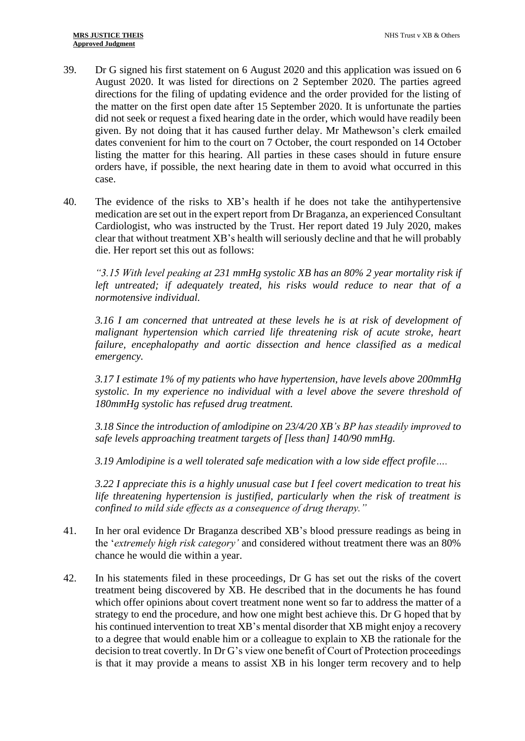- 39. Dr G signed his first statement on 6 August 2020 and this application was issued on 6 August 2020. It was listed for directions on 2 September 2020. The parties agreed directions for the filing of updating evidence and the order provided for the listing of the matter on the first open date after 15 September 2020. It is unfortunate the parties did not seek or request a fixed hearing date in the order, which would have readily been given. By not doing that it has caused further delay. Mr Mathewson's clerk emailed dates convenient for him to the court on 7 October, the court responded on 14 October listing the matter for this hearing. All parties in these cases should in future ensure orders have, if possible, the next hearing date in them to avoid what occurred in this case.
- 40. The evidence of the risks to XB's health if he does not take the antihypertensive medication are set out in the expert report from Dr Braganza, an experienced Consultant Cardiologist, who was instructed by the Trust. Her report dated 19 July 2020, makes clear that without treatment XB's health will seriously decline and that he will probably die. Her report set this out as follows:

*"3.15 With level peaking at 231 mmHg systolic XB has an 80% 2 year mortality risk if left untreated; if adequately treated, his risks would reduce to near that of a normotensive individual.*

*3.16 I am concerned that untreated at these levels he is at risk of development of malignant hypertension which carried life threatening risk of acute stroke, heart failure, encephalopathy and aortic dissection and hence classified as a medical emergency.*

*3.17 I estimate 1% of my patients who have hypertension, have levels above 200mmHg systolic. In my experience no individual with a level above the severe threshold of 180mmHg systolic has refused drug treatment.*

*3.18 Since the introduction of amlodipine on 23/4/20 XB's BP has steadily improved to safe levels approaching treatment targets of [less than] 140/90 mmHg.*

*3.19 Amlodipine is a well tolerated safe medication with a low side effect profile….*

*3.22 I appreciate this is a highly unusual case but I feel covert medication to treat his life threatening hypertension is justified, particularly when the risk of treatment is confined to mild side effects as a consequence of drug therapy."*

- 41. In her oral evidence Dr Braganza described XB's blood pressure readings as being in the '*extremely high risk category'* and considered without treatment there was an 80% chance he would die within a year.
- 42. In his statements filed in these proceedings, Dr G has set out the risks of the covert treatment being discovered by XB. He described that in the documents he has found which offer opinions about covert treatment none went so far to address the matter of a strategy to end the procedure, and how one might best achieve this. Dr G hoped that by his continued intervention to treat XB's mental disorder that XB might enjoy a recovery to a degree that would enable him or a colleague to explain to XB the rationale for the decision to treat covertly. In Dr G's view one benefit of Court of Protection proceedings is that it may provide a means to assist XB in his longer term recovery and to help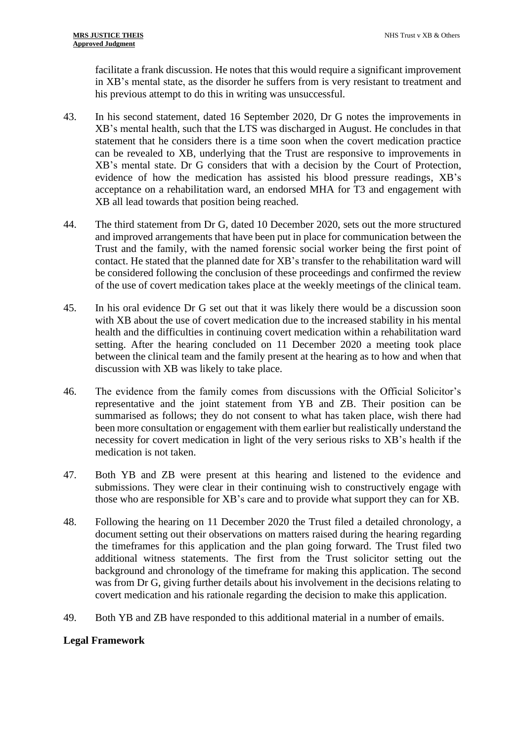facilitate a frank discussion. He notes that this would require a significant improvement in XB's mental state, as the disorder he suffers from is very resistant to treatment and his previous attempt to do this in writing was unsuccessful.

- 43. In his second statement, dated 16 September 2020, Dr G notes the improvements in XB's mental health, such that the LTS was discharged in August. He concludes in that statement that he considers there is a time soon when the covert medication practice can be revealed to XB, underlying that the Trust are responsive to improvements in XB's mental state. Dr G considers that with a decision by the Court of Protection, evidence of how the medication has assisted his blood pressure readings, XB's acceptance on a rehabilitation ward, an endorsed MHA for T3 and engagement with XB all lead towards that position being reached.
- 44. The third statement from Dr G, dated 10 December 2020, sets out the more structured and improved arrangements that have been put in place for communication between the Trust and the family, with the named forensic social worker being the first point of contact. He stated that the planned date for XB's transfer to the rehabilitation ward will be considered following the conclusion of these proceedings and confirmed the review of the use of covert medication takes place at the weekly meetings of the clinical team.
- 45. In his oral evidence Dr G set out that it was likely there would be a discussion soon with XB about the use of covert medication due to the increased stability in his mental health and the difficulties in continuing covert medication within a rehabilitation ward setting. After the hearing concluded on 11 December 2020 a meeting took place between the clinical team and the family present at the hearing as to how and when that discussion with XB was likely to take place.
- 46. The evidence from the family comes from discussions with the Official Solicitor's representative and the joint statement from YB and ZB. Their position can be summarised as follows; they do not consent to what has taken place, wish there had been more consultation or engagement with them earlier but realistically understand the necessity for covert medication in light of the very serious risks to XB's health if the medication is not taken.
- 47. Both YB and ZB were present at this hearing and listened to the evidence and submissions. They were clear in their continuing wish to constructively engage with those who are responsible for XB's care and to provide what support they can for XB.
- 48. Following the hearing on 11 December 2020 the Trust filed a detailed chronology, a document setting out their observations on matters raised during the hearing regarding the timeframes for this application and the plan going forward. The Trust filed two additional witness statements. The first from the Trust solicitor setting out the background and chronology of the timeframe for making this application. The second was from Dr G, giving further details about his involvement in the decisions relating to covert medication and his rationale regarding the decision to make this application.
- 49. Both YB and ZB have responded to this additional material in a number of emails.

# **Legal Framework**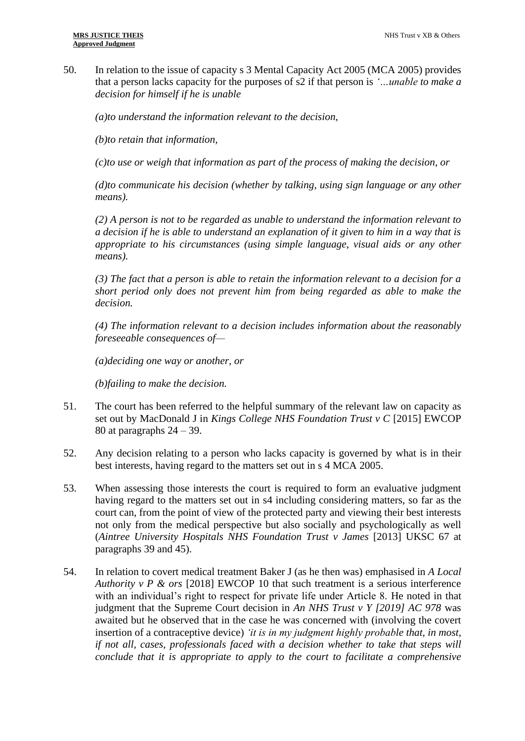50. In relation to the issue of capacity s 3 Mental Capacity Act 2005 (MCA 2005) provides that a person lacks capacity for the purposes of s2 if that person is *'…unable to make a decision for himself if he is unable* 

*(a)to understand the information relevant to the decision,*

*(b)to retain that information,*

*(c)to use or weigh that information as part of the process of making the decision, or*

*(d)to communicate his decision (whether by talking, using sign language or any other means).*

*(2) A person is not to be regarded as unable to understand the information relevant to a decision if he is able to understand an explanation of it given to him in a way that is appropriate to his circumstances (using simple language, visual aids or any other means).*

*(3) The fact that a person is able to retain the information relevant to a decision for a short period only does not prevent him from being regarded as able to make the decision.*

*(4) The information relevant to a decision includes information about the reasonably foreseeable consequences of—*

*(a)deciding one way or another, or*

*(b)failing to make the decision.*

- 51. The court has been referred to the helpful summary of the relevant law on capacity as set out by MacDonald J in *Kings College NHS Foundation Trust v C* [2015] EWCOP 80 at paragraphs  $24 - 39$ .
- 52. Any decision relating to a person who lacks capacity is governed by what is in their best interests, having regard to the matters set out in s 4 MCA 2005.
- 53. When assessing those interests the court is required to form an evaluative judgment having regard to the matters set out in s4 including considering matters, so far as the court can, from the point of view of the protected party and viewing their best interests not only from the medical perspective but also socially and psychologically as well (*Aintree University Hospitals NHS Foundation Trust v James* [2013] UKSC 67 at paragraphs 39 and 45).
- 54. In relation to covert medical treatment Baker J (as he then was) emphasised in *A Local Authority v P & ors* [2018] EWCOP 10 that such treatment is a serious interference with an individual's right to respect for private life under Article 8. He noted in that judgment that the Supreme Court decision in *An NHS Trust v Y [2019] AC 978* was awaited but he observed that in the case he was concerned with (involving the covert insertion of a contraceptive device) *'it is in my judgment highly probable that, in most, if not all, cases, professionals faced with a decision whether to take that steps will conclude that it is appropriate to apply to the court to facilitate a comprehensive*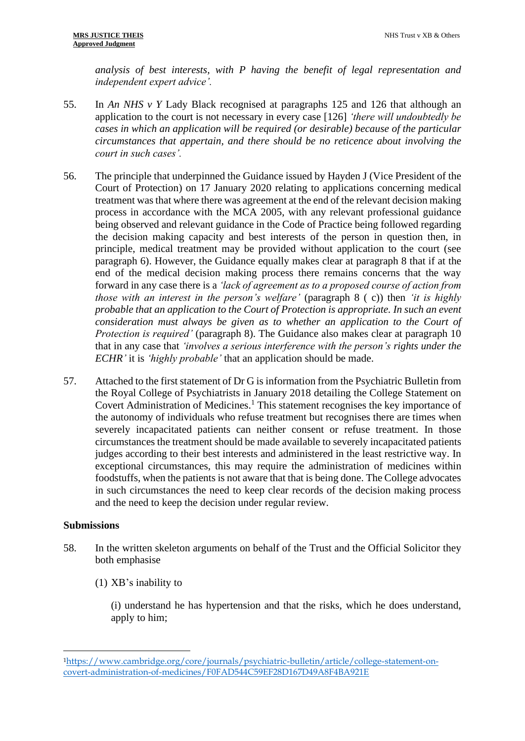*analysis of best interests, with P having the benefit of legal representation and independent expert advice'.*

- 55. In *An NHS v Y* Lady Black recognised at paragraphs 125 and 126 that although an application to the court is not necessary in every case [126] *'there will undoubtedly be cases in which an application will be required (or desirable) because of the particular circumstances that appertain, and there should be no reticence about involving the court in such cases'.*
- 56. The principle that underpinned the Guidance issued by Hayden J (Vice President of the Court of Protection) on 17 January 2020 relating to applications concerning medical treatment was that where there was agreement at the end of the relevant decision making process in accordance with the MCA 2005, with any relevant professional guidance being observed and relevant guidance in the Code of Practice being followed regarding the decision making capacity and best interests of the person in question then, in principle, medical treatment may be provided without application to the court (see paragraph 6). However, the Guidance equally makes clear at paragraph 8 that if at the end of the medical decision making process there remains concerns that the way forward in any case there is a *'lack of agreement as to a proposed course of action from those with an interest in the person's welfare'* (paragraph 8 ( c)) then *'it is highly probable that an application to the Court of Protection is appropriate. In such an event consideration must always be given as to whether an application to the Court of Protection is required'* (paragraph 8). The Guidance also makes clear at paragraph 10 that in any case that *'involves a serious interference with the person's rights under the ECHR'* it is *'highly probable'* that an application should be made.
- 57. Attached to the first statement of Dr G is information from the Psychiatric Bulletin from the Royal College of Psychiatrists in January 2018 detailing the College Statement on Covert Administration of Medicines. <sup>1</sup> This statement recognises the key importance of the autonomy of individuals who refuse treatment but recognises there are times when severely incapacitated patients can neither consent or refuse treatment. In those circumstances the treatment should be made available to severely incapacitated patients judges according to their best interests and administered in the least restrictive way. In exceptional circumstances, this may require the administration of medicines within foodstuffs, when the patients is not aware that that is being done. The College advocates in such circumstances the need to keep clear records of the decision making process and the need to keep the decision under regular review.

## **Submissions**

- 58. In the written skeleton arguments on behalf of the Trust and the Official Solicitor they both emphasise
	- (1) XB's inability to

(i) understand he has hypertension and that the risks, which he does understand, apply to him;

<sup>1</sup>[https://www.cambridge.org/core/journals/psychiatric-bulletin/article/college-statement-on](https://www.cambridge.org/core/journals/psychiatric-bulletin/article/college-statement-on-covert-administration-of-medicines/F0FAD544C59EF28D167D49A8F4BA921E)[covert-administration-of-medicines/F0FAD544C59EF28D167D49A8F4BA921E](https://www.cambridge.org/core/journals/psychiatric-bulletin/article/college-statement-on-covert-administration-of-medicines/F0FAD544C59EF28D167D49A8F4BA921E)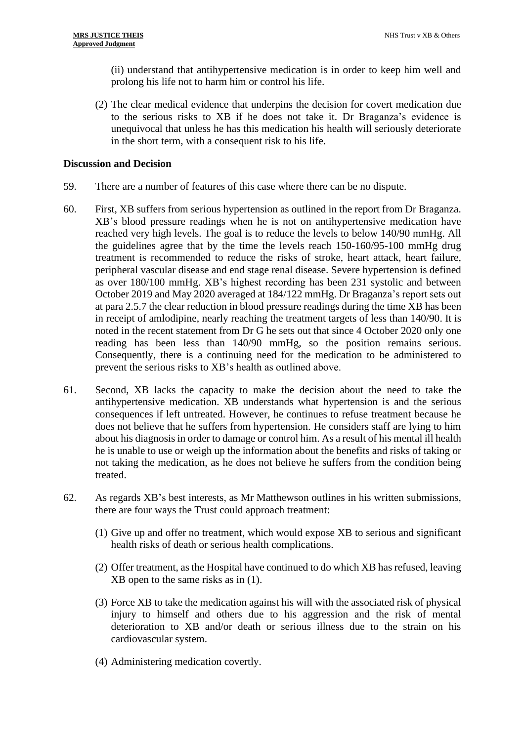(ii) understand that antihypertensive medication is in order to keep him well and prolong his life not to harm him or control his life.

(2) The clear medical evidence that underpins the decision for covert medication due to the serious risks to XB if he does not take it. Dr Braganza's evidence is unequivocal that unless he has this medication his health will seriously deteriorate in the short term, with a consequent risk to his life.

#### **Discussion and Decision**

- 59. There are a number of features of this case where there can be no dispute.
- 60. First, XB suffers from serious hypertension as outlined in the report from Dr Braganza. XB's blood pressure readings when he is not on antihypertensive medication have reached very high levels. The goal is to reduce the levels to below 140/90 mmHg. All the guidelines agree that by the time the levels reach 150-160/95-100 mmHg drug treatment is recommended to reduce the risks of stroke, heart attack, heart failure, peripheral vascular disease and end stage renal disease. Severe hypertension is defined as over 180/100 mmHg. XB's highest recording has been 231 systolic and between October 2019 and May 2020 averaged at 184/122 mmHg. Dr Braganza's report sets out at para 2.5.7 the clear reduction in blood pressure readings during the time XB has been in receipt of amlodipine, nearly reaching the treatment targets of less than 140/90. It is noted in the recent statement from Dr G he sets out that since 4 October 2020 only one reading has been less than 140/90 mmHg, so the position remains serious. Consequently, there is a continuing need for the medication to be administered to prevent the serious risks to XB's health as outlined above.
- 61. Second, XB lacks the capacity to make the decision about the need to take the antihypertensive medication. XB understands what hypertension is and the serious consequences if left untreated. However, he continues to refuse treatment because he does not believe that he suffers from hypertension. He considers staff are lying to him about his diagnosis in order to damage or control him. As a result of his mental ill health he is unable to use or weigh up the information about the benefits and risks of taking or not taking the medication, as he does not believe he suffers from the condition being treated.
- 62. As regards XB's best interests, as Mr Matthewson outlines in his written submissions, there are four ways the Trust could approach treatment:
	- (1) Give up and offer no treatment, which would expose XB to serious and significant health risks of death or serious health complications.
	- (2) Offer treatment, as the Hospital have continued to do which XB has refused, leaving XB open to the same risks as in (1).
	- (3) Force XB to take the medication against his will with the associated risk of physical injury to himself and others due to his aggression and the risk of mental deterioration to XB and/or death or serious illness due to the strain on his cardiovascular system.
	- (4) Administering medication covertly.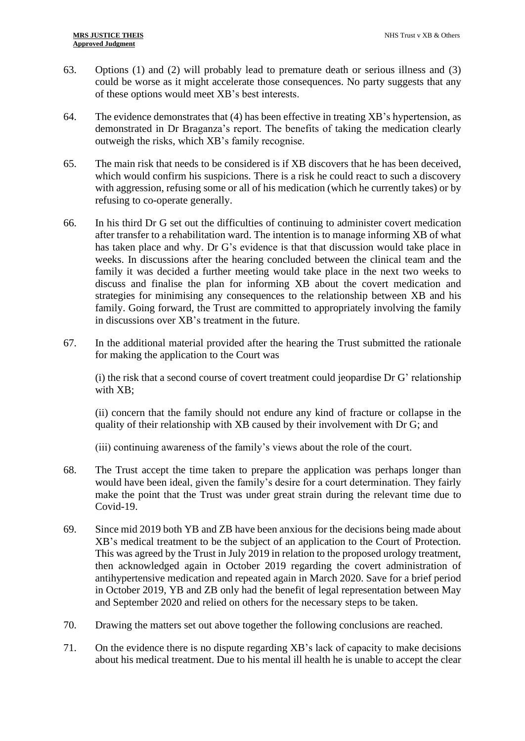- 63. Options (1) and (2) will probably lead to premature death or serious illness and (3) could be worse as it might accelerate those consequences. No party suggests that any of these options would meet XB's best interests.
- 64. The evidence demonstrates that (4) has been effective in treating XB's hypertension, as demonstrated in Dr Braganza's report. The benefits of taking the medication clearly outweigh the risks, which XB's family recognise.
- 65. The main risk that needs to be considered is if XB discovers that he has been deceived, which would confirm his suspicions. There is a risk he could react to such a discovery with aggression, refusing some or all of his medication (which he currently takes) or by refusing to co-operate generally.
- 66. In his third Dr G set out the difficulties of continuing to administer covert medication after transfer to a rehabilitation ward. The intention is to manage informing XB of what has taken place and why. Dr G's evidence is that that discussion would take place in weeks. In discussions after the hearing concluded between the clinical team and the family it was decided a further meeting would take place in the next two weeks to discuss and finalise the plan for informing XB about the covert medication and strategies for minimising any consequences to the relationship between XB and his family. Going forward, the Trust are committed to appropriately involving the family in discussions over XB's treatment in the future.
- 67. In the additional material provided after the hearing the Trust submitted the rationale for making the application to the Court was

(i) the risk that a second course of covert treatment could jeopardise Dr G' relationship with XB;

(ii) concern that the family should not endure any kind of fracture or collapse in the quality of their relationship with XB caused by their involvement with Dr G; and

(iii) continuing awareness of the family's views about the role of the court.

- 68. The Trust accept the time taken to prepare the application was perhaps longer than would have been ideal, given the family's desire for a court determination. They fairly make the point that the Trust was under great strain during the relevant time due to Covid-19.
- 69. Since mid 2019 both YB and ZB have been anxious for the decisions being made about XB's medical treatment to be the subject of an application to the Court of Protection. This was agreed by the Trust in July 2019 in relation to the proposed urology treatment, then acknowledged again in October 2019 regarding the covert administration of antihypertensive medication and repeated again in March 2020. Save for a brief period in October 2019, YB and ZB only had the benefit of legal representation between May and September 2020 and relied on others for the necessary steps to be taken.
- 70. Drawing the matters set out above together the following conclusions are reached.
- 71. On the evidence there is no dispute regarding XB's lack of capacity to make decisions about his medical treatment. Due to his mental ill health he is unable to accept the clear